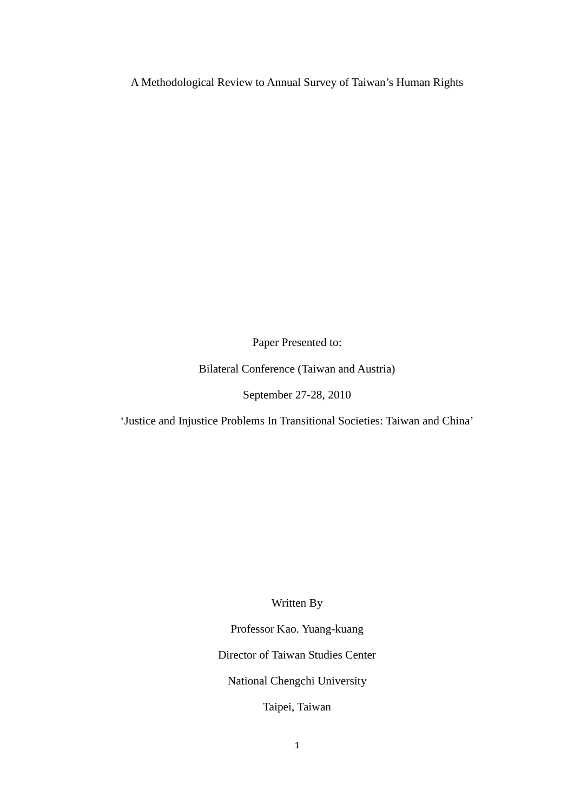A Methodological Review to Annual Survey of Taiwan's Human Rights

Paper Presented to:

Bilateral Conference (Taiwan and Austria)

September 27-28, 2010

'Justice and Injustice Problems In Transitional Societies: Taiwan and China'

Written By

Professor Kao. Yuang-kuang

Director of Taiwan Studies Center

National Chengchi University

Taipei, Taiwan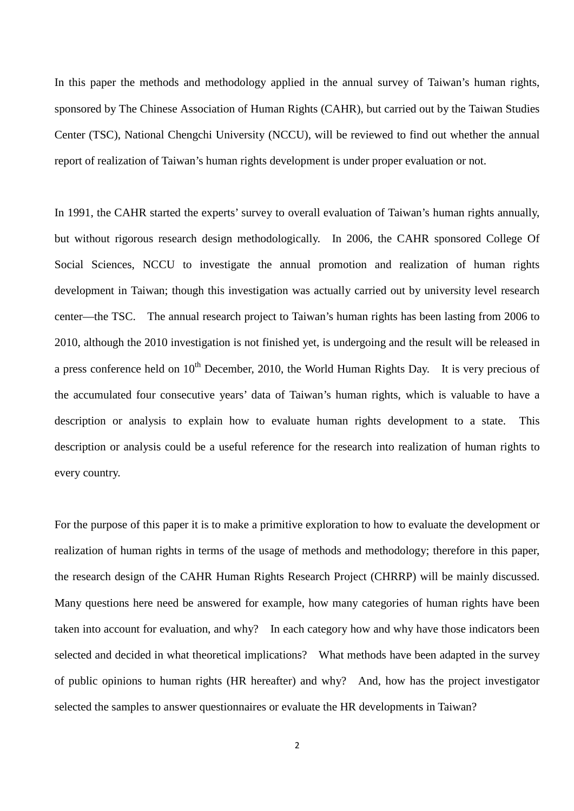In this paper the methods and methodology applied in the annual survey of Taiwan's human rights, sponsored by The Chinese Association of Human Rights (CAHR), but carried out by the Taiwan Studies Center (TSC), National Chengchi University (NCCU), will be reviewed to find out whether the annual report of realization of Taiwan's human rights development is under proper evaluation or not.

In 1991, the CAHR started the experts' survey to overall evaluation of Taiwan's human rights annually, but without rigorous research design methodologically. In 2006, the CAHR sponsored College Of Social Sciences, NCCU to investigate the annual promotion and realization of human rights development in Taiwan; though this investigation was actually carried out by university level research center—the TSC. The annual research project to Taiwan's human rights has been lasting from 2006 to 2010, although the 2010 investigation is not finished yet, is undergoing and the result will be released in a press conference held on  $10<sup>th</sup>$  December, 2010, the World Human Rights Day. It is very precious of the accumulated four consecutive years' data of Taiwan's human rights, which is valuable to have a description or analysis to explain how to evaluate human rights development to a state. This description or analysis could be a useful reference for the research into realization of human rights to every country.

For the purpose of this paper it is to make a primitive exploration to how to evaluate the development or realization of human rights in terms of the usage of methods and methodology; therefore in this paper, the research design of the CAHR Human Rights Research Project (CHRRP) will be mainly discussed. Many questions here need be answered for example, how many categories of human rights have been taken into account for evaluation, and why? In each category how and why have those indicators been selected and decided in what theoretical implications? What methods have been adapted in the survey of public opinions to human rights (HR hereafter) and why? And, how has the project investigator selected the samples to answer questionnaires or evaluate the HR developments in Taiwan?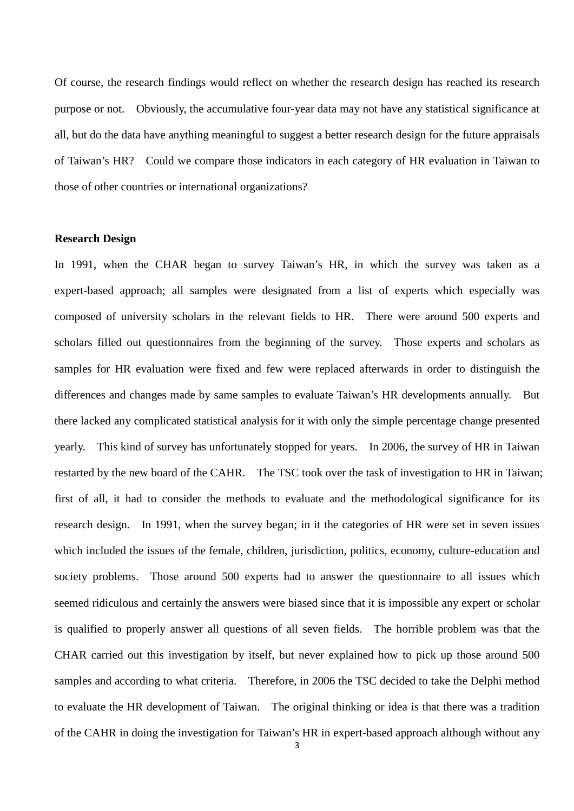Of course, the research findings would reflect on whether the research design has reached its research purpose or not. Obviously, the accumulative four-year data may not have any statistical significance at all, but do the data have anything meaningful to suggest a better research design for the future appraisals of Taiwan's HR? Could we compare those indicators in each category of HR evaluation in Taiwan to those of other countries or international organizations?

# **Research Design**

In 1991, when the CHAR began to survey Taiwan's HR, in which the survey was taken as a expert-based approach; all samples were designated from a list of experts which especially was composed of university scholars in the relevant fields to HR. There were around 500 experts and scholars filled out questionnaires from the beginning of the survey. Those experts and scholars as samples for HR evaluation were fixed and few were replaced afterwards in order to distinguish the differences and changes made by same samples to evaluate Taiwan's HR developments annually. But there lacked any complicated statistical analysis for it with only the simple percentage change presented yearly. This kind of survey has unfortunately stopped for years. In 2006, the survey of HR in Taiwan restarted by the new board of the CAHR. The TSC took over the task of investigation to HR in Taiwan; first of all, it had to consider the methods to evaluate and the methodological significance for its research design. In 1991, when the survey began; in it the categories of HR were set in seven issues which included the issues of the female, children, jurisdiction, politics, economy, culture-education and society problems. Those around 500 experts had to answer the questionnaire to all issues which seemed ridiculous and certainly the answers were biased since that it is impossible any expert or scholar is qualified to properly answer all questions of all seven fields. The horrible problem was that the CHAR carried out this investigation by itself, but never explained how to pick up those around 500 samples and according to what criteria. Therefore, in 2006 the TSC decided to take the Delphi method to evaluate the HR development of Taiwan. The original thinking or idea is that there was a tradition of the CAHR in doing the investigation for Taiwan's HR in expert-based approach although without any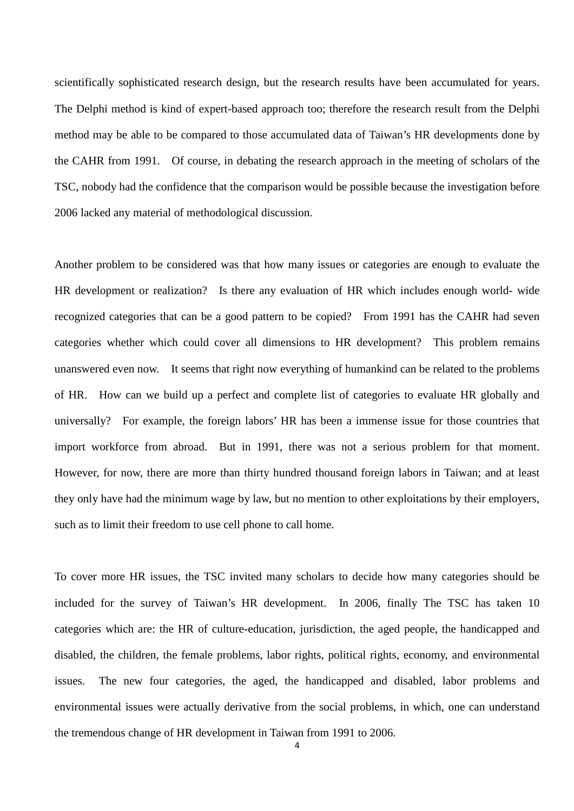scientifically sophisticated research design, but the research results have been accumulated for years. The Delphi method is kind of expert-based approach too; therefore the research result from the Delphi method may be able to be compared to those accumulated data of Taiwan's HR developments done by the CAHR from 1991. Of course, in debating the research approach in the meeting of scholars of the TSC, nobody had the confidence that the comparison would be possible because the investigation before 2006 lacked any material of methodological discussion.

Another problem to be considered was that how many issues or categories are enough to evaluate the HR development or realization? Is there any evaluation of HR which includes enough world- wide recognized categories that can be a good pattern to be copied? From 1991 has the CAHR had seven categories whether which could cover all dimensions to HR development? This problem remains unanswered even now. It seems that right now everything of humankind can be related to the problems of HR. How can we build up a perfect and complete list of categories to evaluate HR globally and universally? For example, the foreign labors' HR has been a immense issue for those countries that import workforce from abroad. But in 1991, there was not a serious problem for that moment. However, for now, there are more than thirty hundred thousand foreign labors in Taiwan; and at least they only have had the minimum wage by law, but no mention to other exploitations by their employers, such as to limit their freedom to use cell phone to call home.

To cover more HR issues, the TSC invited many scholars to decide how many categories should be included for the survey of Taiwan's HR development. In 2006, finally The TSC has taken 10 categories which are: the HR of culture-education, jurisdiction, the aged people, the handicapped and disabled, the children, the female problems, labor rights, political rights, economy, and environmental issues. The new four categories, the aged, the handicapped and disabled, labor problems and environmental issues were actually derivative from the social problems, in which, one can understand the tremendous change of HR development in Taiwan from 1991 to 2006.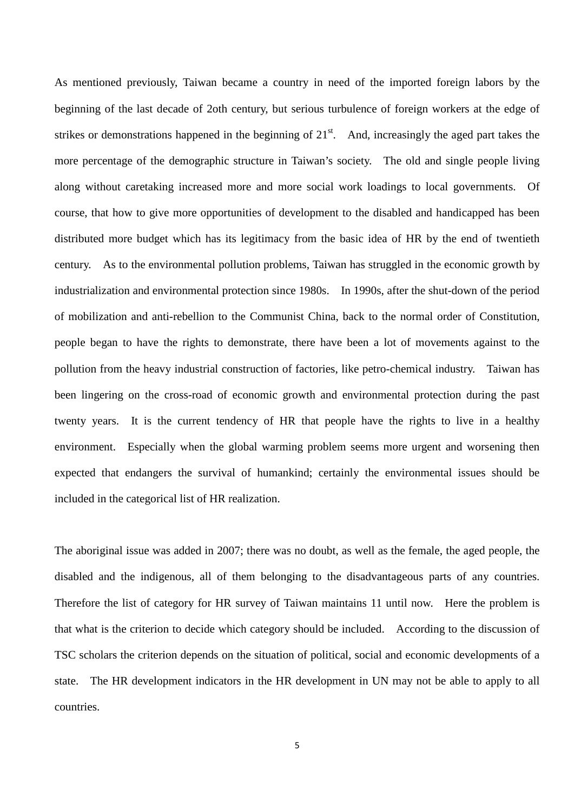As mentioned previously, Taiwan became a country in need of the imported foreign labors by the beginning of the last decade of 2oth century, but serious turbulence of foreign workers at the edge of strikes or demonstrations happened in the beginning of  $21<sup>st</sup>$ . And, increasingly the aged part takes the more percentage of the demographic structure in Taiwan's society. The old and single people living along without caretaking increased more and more social work loadings to local governments. Of course, that how to give more opportunities of development to the disabled and handicapped has been distributed more budget which has its legitimacy from the basic idea of HR by the end of twentieth century. As to the environmental pollution problems, Taiwan has struggled in the economic growth by industrialization and environmental protection since 1980s. In 1990s, after the shut-down of the period of mobilization and anti-rebellion to the Communist China, back to the normal order of Constitution, people began to have the rights to demonstrate, there have been a lot of movements against to the pollution from the heavy industrial construction of factories, like petro-chemical industry. Taiwan has been lingering on the cross-road of economic growth and environmental protection during the past twenty years. It is the current tendency of HR that people have the rights to live in a healthy environment. Especially when the global warming problem seems more urgent and worsening then expected that endangers the survival of humankind; certainly the environmental issues should be included in the categorical list of HR realization.

The aboriginal issue was added in 2007; there was no doubt, as well as the female, the aged people, the disabled and the indigenous, all of them belonging to the disadvantageous parts of any countries. Therefore the list of category for HR survey of Taiwan maintains 11 until now. Here the problem is that what is the criterion to decide which category should be included. According to the discussion of TSC scholars the criterion depends on the situation of political, social and economic developments of a state. The HR development indicators in the HR development in UN may not be able to apply to all countries.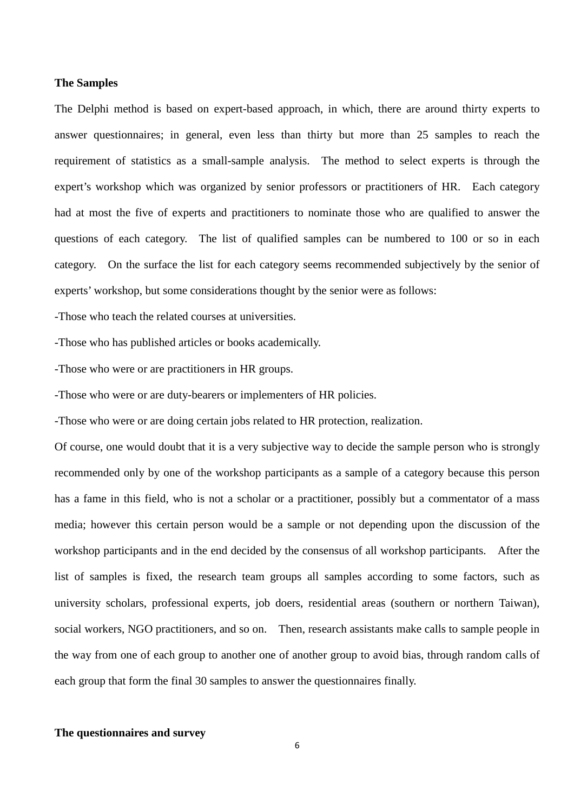#### **The Samples**

The Delphi method is based on expert-based approach, in which, there are around thirty experts to answer questionnaires; in general, even less than thirty but more than 25 samples to reach the requirement of statistics as a small-sample analysis. The method to select experts is through the expert's workshop which was organized by senior professors or practitioners of HR. Each category had at most the five of experts and practitioners to nominate those who are qualified to answer the questions of each category. The list of qualified samples can be numbered to 100 or so in each category. On the surface the list for each category seems recommended subjectively by the senior of experts' workshop, but some considerations thought by the senior were as follows:

-Those who teach the related courses at universities.

-Those who has published articles or books academically.

-Those who were or are practitioners in HR groups.

-Those who were or are duty-bearers or implementers of HR policies.

-Those who were or are doing certain jobs related to HR protection, realization.

Of course, one would doubt that it is a very subjective way to decide the sample person who is strongly recommended only by one of the workshop participants as a sample of a category because this person has a fame in this field, who is not a scholar or a practitioner, possibly but a commentator of a mass media; however this certain person would be a sample or not depending upon the discussion of the workshop participants and in the end decided by the consensus of all workshop participants. After the list of samples is fixed, the research team groups all samples according to some factors, such as university scholars, professional experts, job doers, residential areas (southern or northern Taiwan), social workers, NGO practitioners, and so on. Then, research assistants make calls to sample people in the way from one of each group to another one of another group to avoid bias, through random calls of each group that form the final 30 samples to answer the questionnaires finally.

# **The questionnaires and survey**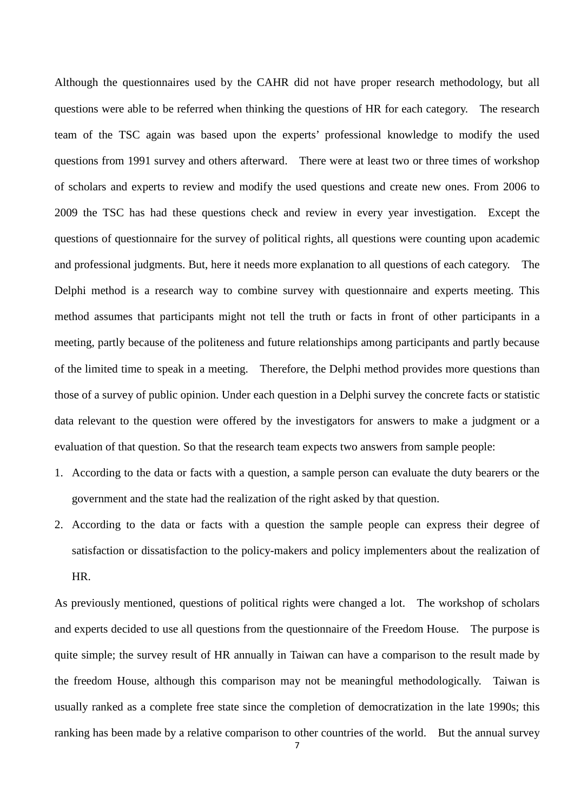Although the questionnaires used by the CAHR did not have proper research methodology, but all questions were able to be referred when thinking the questions of HR for each category. The research team of the TSC again was based upon the experts' professional knowledge to modify the used questions from 1991 survey and others afterward. There were at least two or three times of workshop of scholars and experts to review and modify the used questions and create new ones. From 2006 to 2009 the TSC has had these questions check and review in every year investigation. Except the questions of questionnaire for the survey of political rights, all questions were counting upon academic and professional judgments. But, here it needs more explanation to all questions of each category. The Delphi method is a research way to combine survey with questionnaire and experts meeting. This method assumes that participants might not tell the truth or facts in front of other participants in a meeting, partly because of the politeness and future relationships among participants and partly because of the limited time to speak in a meeting. Therefore, the Delphi method provides more questions than those of a survey of public opinion. Under each question in a Delphi survey the concrete facts or statistic data relevant to the question were offered by the investigators for answers to make a judgment or a evaluation of that question. So that the research team expects two answers from sample people:

- 1. According to the data or facts with a question, a sample person can evaluate the duty bearers or the government and the state had the realization of the right asked by that question.
- 2. According to the data or facts with a question the sample people can express their degree of satisfaction or dissatisfaction to the policy-makers and policy implementers about the realization of HR.

As previously mentioned, questions of political rights were changed a lot. The workshop of scholars and experts decided to use all questions from the questionnaire of the Freedom House. The purpose is quite simple; the survey result of HR annually in Taiwan can have a comparison to the result made by the freedom House, although this comparison may not be meaningful methodologically. Taiwan is usually ranked as a complete free state since the completion of democratization in the late 1990s; this ranking has been made by a relative comparison to other countries of the world. But the annual survey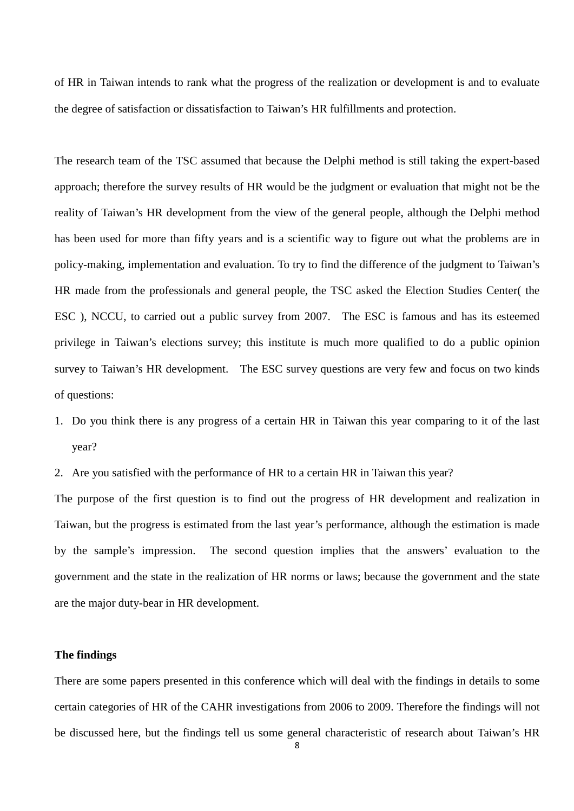of HR in Taiwan intends to rank what the progress of the realization or development is and to evaluate the degree of satisfaction or dissatisfaction to Taiwan's HR fulfillments and protection.

The research team of the TSC assumed that because the Delphi method is still taking the expert-based approach; therefore the survey results of HR would be the judgment or evaluation that might not be the reality of Taiwan's HR development from the view of the general people, although the Delphi method has been used for more than fifty years and is a scientific way to figure out what the problems are in policy-making, implementation and evaluation. To try to find the difference of the judgment to Taiwan's HR made from the professionals and general people, the TSC asked the Election Studies Center( the ESC ), NCCU, to carried out a public survey from 2007. The ESC is famous and has its esteemed privilege in Taiwan's elections survey; this institute is much more qualified to do a public opinion survey to Taiwan's HR development. The ESC survey questions are very few and focus on two kinds of questions:

- 1. Do you think there is any progress of a certain HR in Taiwan this year comparing to it of the last year?
- 2. Are you satisfied with the performance of HR to a certain HR in Taiwan this year?

The purpose of the first question is to find out the progress of HR development and realization in Taiwan, but the progress is estimated from the last year's performance, although the estimation is made by the sample's impression. The second question implies that the answers' evaluation to the government and the state in the realization of HR norms or laws; because the government and the state are the major duty-bear in HR development.

#### **The findings**

There are some papers presented in this conference which will deal with the findings in details to some certain categories of HR of the CAHR investigations from 2006 to 2009. Therefore the findings will not be discussed here, but the findings tell us some general characteristic of research about Taiwan's HR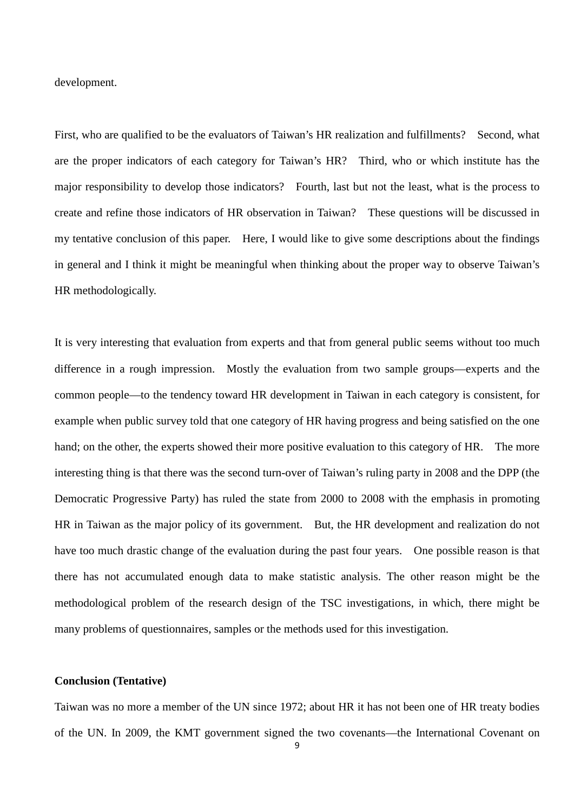development.

First, who are qualified to be the evaluators of Taiwan's HR realization and fulfillments? Second, what are the proper indicators of each category for Taiwan's HR? Third, who or which institute has the major responsibility to develop those indicators? Fourth, last but not the least, what is the process to create and refine those indicators of HR observation in Taiwan? These questions will be discussed in my tentative conclusion of this paper. Here, I would like to give some descriptions about the findings in general and I think it might be meaningful when thinking about the proper way to observe Taiwan's HR methodologically.

It is very interesting that evaluation from experts and that from general public seems without too much difference in a rough impression. Mostly the evaluation from two sample groups—experts and the common people—to the tendency toward HR development in Taiwan in each category is consistent, for example when public survey told that one category of HR having progress and being satisfied on the one hand; on the other, the experts showed their more positive evaluation to this category of HR. The more interesting thing is that there was the second turn-over of Taiwan's ruling party in 2008 and the DPP (the Democratic Progressive Party) has ruled the state from 2000 to 2008 with the emphasis in promoting HR in Taiwan as the major policy of its government. But, the HR development and realization do not have too much drastic change of the evaluation during the past four years. One possible reason is that there has not accumulated enough data to make statistic analysis. The other reason might be the methodological problem of the research design of the TSC investigations, in which, there might be many problems of questionnaires, samples or the methods used for this investigation.

### **Conclusion (Tentative)**

Taiwan was no more a member of the UN since 1972; about HR it has not been one of HR treaty bodies of the UN. In 2009, the KMT government signed the two covenants—the International Covenant on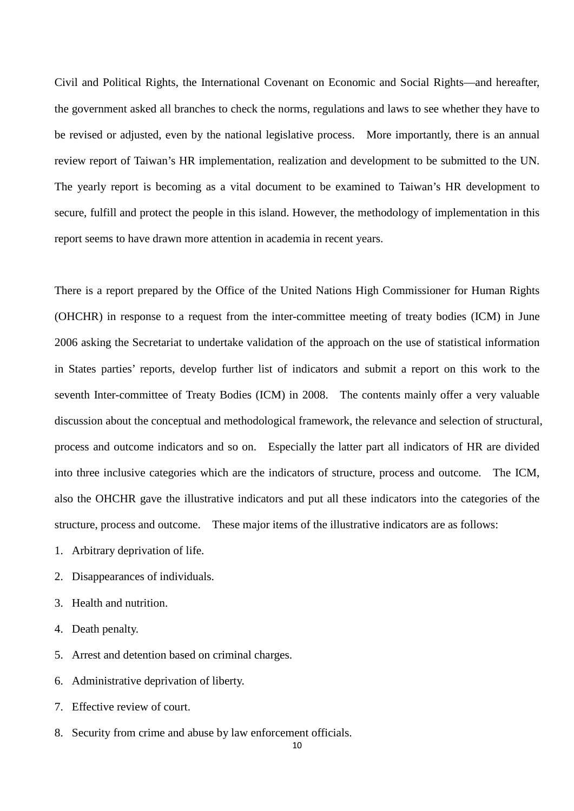Civil and Political Rights, the International Covenant on Economic and Social Rights—and hereafter, the government asked all branches to check the norms, regulations and laws to see whether they have to be revised or adjusted, even by the national legislative process. More importantly, there is an annual review report of Taiwan's HR implementation, realization and development to be submitted to the UN. The yearly report is becoming as a vital document to be examined to Taiwan's HR development to secure, fulfill and protect the people in this island. However, the methodology of implementation in this report seems to have drawn more attention in academia in recent years.

There is a report prepared by the Office of the United Nations High Commissioner for Human Rights (OHCHR) in response to a request from the inter-committee meeting of treaty bodies (ICM) in June 2006 asking the Secretariat to undertake validation of the approach on the use of statistical information in States parties' reports, develop further list of indicators and submit a report on this work to the seventh Inter-committee of Treaty Bodies (ICM) in 2008. The contents mainly offer a very valuable discussion about the conceptual and methodological framework, the relevance and selection of structural, process and outcome indicators and so on. Especially the latter part all indicators of HR are divided into three inclusive categories which are the indicators of structure, process and outcome. The ICM, also the OHCHR gave the illustrative indicators and put all these indicators into the categories of the structure, process and outcome. These major items of the illustrative indicators are as follows:

- 1. Arbitrary deprivation of life.
- 2. Disappearances of individuals.
- 3. Health and nutrition.
- 4. Death penalty.
- 5. Arrest and detention based on criminal charges.
- 6. Administrative deprivation of liberty.
- 7. Effective review of court.
- 8. Security from crime and abuse by law enforcement officials.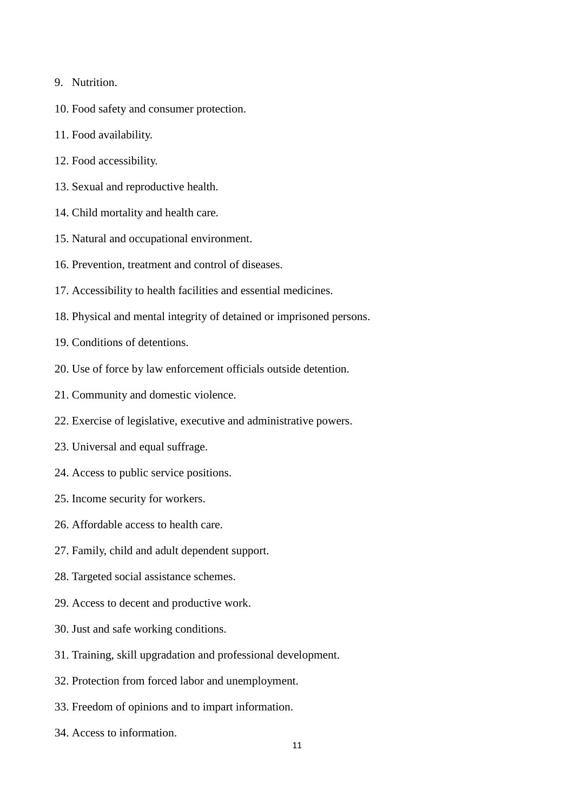- 9. Nutrition.
- 10. Food safety and consumer protection.
- 11. Food availability.
- 12. Food accessibility.
- 13. Sexual and reproductive health.
- 14. Child mortality and health care.
- 15. Natural and occupational environment.
- 16. Prevention, treatment and control of diseases.
- 17. Accessibility to health facilities and essential medicines.
- 18. Physical and mental integrity of detained or imprisoned persons.
- 19. Conditions of detentions.
- 20. Use of force by law enforcement officials outside detention.
- 21. Community and domestic violence.
- 22. Exercise of legislative, executive and administrative powers.
- 23. Universal and equal suffrage.
- 24. Access to public service positions.
- 25. Income security for workers.
- 26. Affordable access to health care.
- 27. Family, child and adult dependent support.
- 28. Targeted social assistance schemes.
- 29. Access to decent and productive work.
- 30. Just and safe working conditions.
- 31. Training, skill upgradation and professional development.
- 32. Protection from forced labor and unemployment.
- 33. Freedom of opinions and to impart information.
- 34. Access to information.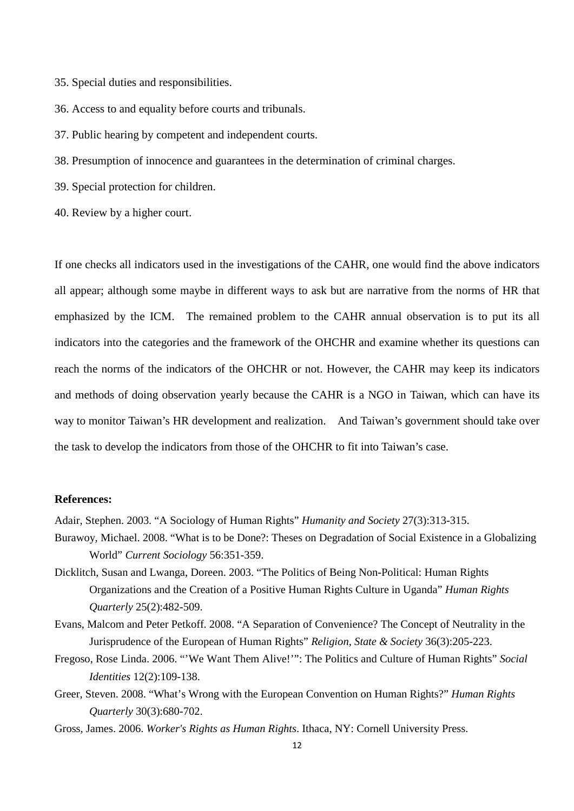- 35. Special duties and responsibilities.
- 36. Access to and equality before courts and tribunals.
- 37. Public hearing by competent and independent courts.
- 38. Presumption of innocence and guarantees in the determination of criminal charges.
- 39. Special protection for children.
- 40. Review by a higher court.

If one checks all indicators used in the investigations of the CAHR, one would find the above indicators all appear; although some maybe in different ways to ask but are narrative from the norms of HR that emphasized by the ICM. The remained problem to the CAHR annual observation is to put its all indicators into the categories and the framework of the OHCHR and examine whether its questions can reach the norms of the indicators of the OHCHR or not. However, the CAHR may keep its indicators and methods of doing observation yearly because the CAHR is a NGO in Taiwan, which can have its way to monitor Taiwan's HR development and realization. And Taiwan's government should take over the task to develop the indicators from those of the OHCHR to fit into Taiwan's case.

# **References:**

Adair, Stephen. 2003. "A Sociology of Human Rights" *Humanity and Society* 27(3):313-315.

- Burawoy, Michael. 2008. "What is to be Done?: Theses on Degradation of Social Existence in a Globalizing World" *Current Sociology* 56:351-359.
- Dicklitch, Susan and Lwanga, Doreen. 2003. "The Politics of Being Non-Political: Human Rights Organizations and the Creation of a Positive Human Rights Culture in Uganda" *Human Rights Quarterly* 25(2):482-509.
- Evans, Malcom and Peter Petkoff. 2008. "A Separation of Convenience? The Concept of Neutrality in the Jurisprudence of the European of Human Rights" *Religion, State & Society* 36(3):205-223.
- Fregoso, Rose Linda. 2006. "'We Want Them Alive!'": The Politics and Culture of Human Rights" *Social Identities* 12(2):109-138.
- Greer, Steven. 2008. "What's Wrong with the European Convention on Human Rights?" *Human Rights Quarterly* 30(3):680-702.
- Gross, James. 2006. *Worker's Rights as Human Rights*. Ithaca, NY: Cornell University Press.